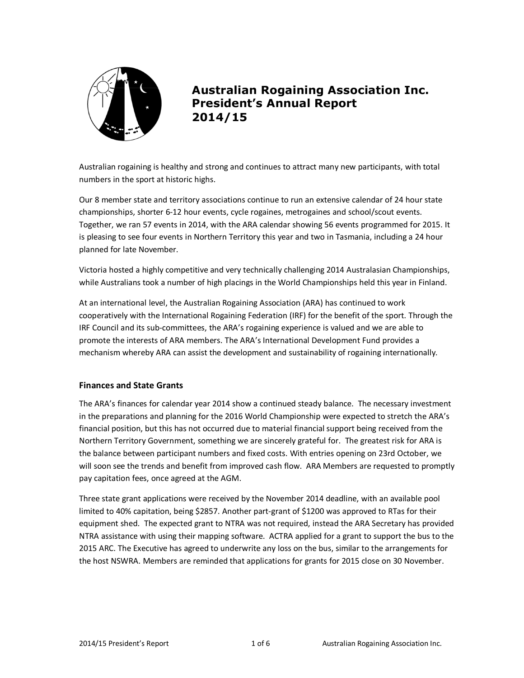

# **Australian Rogaining Association Inc. President's Annual Report 2014/15**

Australian rogaining is healthy and strong and continues to attract many new participants, with total numbers in the sport at historic highs.

Our 8 member state and territory associations continue to run an extensive calendar of 24 hour state championships, shorter 6-12 hour events, cycle rogaines, metrogaines and school/scout events. Together, we ran 57 events in 2014, with the ARA calendar showing 56 events programmed for 2015. It is pleasing to see four events in Northern Territory this year and two in Tasmania, including a 24 hour planned for late November.

Victoria hosted a highly competitive and very technically challenging 2014 Australasian Championships, while Australians took a number of high placings in the World Championships held this year in Finland.

At an international level, the Australian Rogaining Association (ARA) has continued to work cooperatively with the International Rogaining Federation (IRF) for the benefit of the sport. Through the IRF Council and its sub-committees, the ARA's rogaining experience is valued and we are able to promote the interests of ARA members. The ARA's International Development Fund provides a mechanism whereby ARA can assist the development and sustainability of rogaining internationally.

## **Finances and State Grants**

The ARA's finances for calendar year 2014 show a continued steady balance. The necessary investment in the preparations and planning for the 2016 World Championship were expected to stretch the ARA's financial position, but this has not occurred due to material financial support being received from the Northern Territory Government, something we are sincerely grateful for. The greatest risk for ARA is the balance between participant numbers and fixed costs. With entries opening on 23rd October, we will soon see the trends and benefit from improved cash flow. ARA Members are requested to promptly pay capitation fees, once agreed at the AGM.

Three state grant applications were received by the November 2014 deadline, with an available pool limited to 40% capitation, being \$2857. Another part-grant of \$1200 was approved to RTas for their equipment shed. The expected grant to NTRA was not required, instead the ARA Secretary has provided NTRA assistance with using their mapping software. ACTRA applied for a grant to support the bus to the 2015 ARC. The Executive has agreed to underwrite any loss on the bus, similar to the arrangements for the host NSWRA. Members are reminded that applications for grants for 2015 close on 30 November.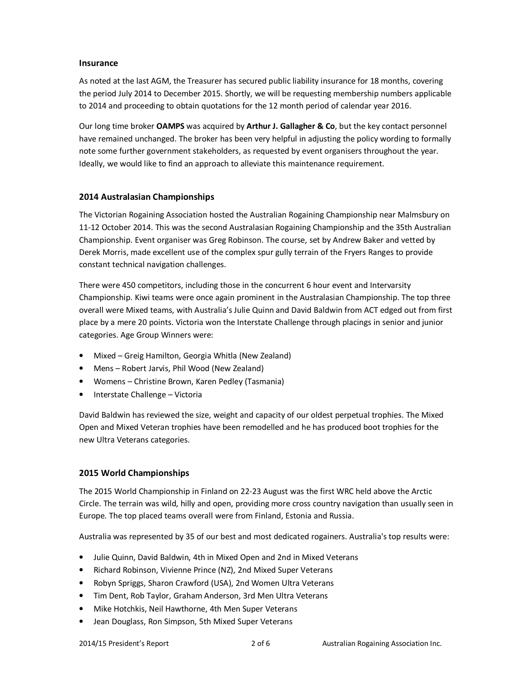## **Insurance**

As noted at the last AGM, the Treasurer has secured public liability insurance for 18 months, covering the period July 2014 to December 2015. Shortly, we will be requesting membership numbers applicable to 2014 and proceeding to obtain quotations for the 12 month period of calendar year 2016.

Our long time broker **OAMPS** was acquired by **Arthur J. Gallagher & Co**, but the key contact personnel have remained unchanged. The broker has been very helpful in adjusting the policy wording to formally note some further government stakeholders, as requested by event organisers throughout the year. Ideally, we would like to find an approach to alleviate this maintenance requirement.

# **2014 Australasian Championships**

The Victorian Rogaining Association hosted the Australian Rogaining Championship near Malmsbury on 11-12 October 2014. This was the second Australasian Rogaining Championship and the 35th Australian Championship. Event organiser was Greg Robinson. The course, set by Andrew Baker and vetted by Derek Morris, made excellent use of the complex spur gully terrain of the Fryers Ranges to provide constant technical navigation challenges.

There were 450 competitors, including those in the concurrent 6 hour event and Intervarsity Championship. Kiwi teams were once again prominent in the Australasian Championship. The top three overall were Mixed teams, with Australia's Julie Quinn and David Baldwin from ACT edged out from first place by a mere 20 points. Victoria won the Interstate Challenge through placings in senior and junior categories. Age Group Winners were:

- Mixed Greig Hamilton, Georgia Whitla (New Zealand)
- Mens Robert Jarvis, Phil Wood (New Zealand)
- Womens Christine Brown, Karen Pedley (Tasmania)
- Interstate Challenge Victoria

David Baldwin has reviewed the size, weight and capacity of our oldest perpetual trophies. The Mixed Open and Mixed Veteran trophies have been remodelled and he has produced boot trophies for the new Ultra Veterans categories.

## **2015 World Championships**

The 2015 World Championship in Finland on 22-23 August was the first WRC held above the Arctic Circle. The terrain was wild, hilly and open, providing more cross country navigation than usually seen in Europe. The top placed teams overall were from Finland, Estonia and Russia.

Australia was represented by 35 of our best and most dedicated rogainers. Australia's top results were:

- Julie Quinn, David Baldwin, 4th in Mixed Open and 2nd in Mixed Veterans
- Richard Robinson, Vivienne Prince (NZ), 2nd Mixed Super Veterans
- Robyn Spriggs, Sharon Crawford (USA), 2nd Women Ultra Veterans
- Tim Dent, Rob Taylor, Graham Anderson, 3rd Men Ultra Veterans
- Mike Hotchkis, Neil Hawthorne, 4th Men Super Veterans
- Jean Douglass, Ron Simpson, 5th Mixed Super Veterans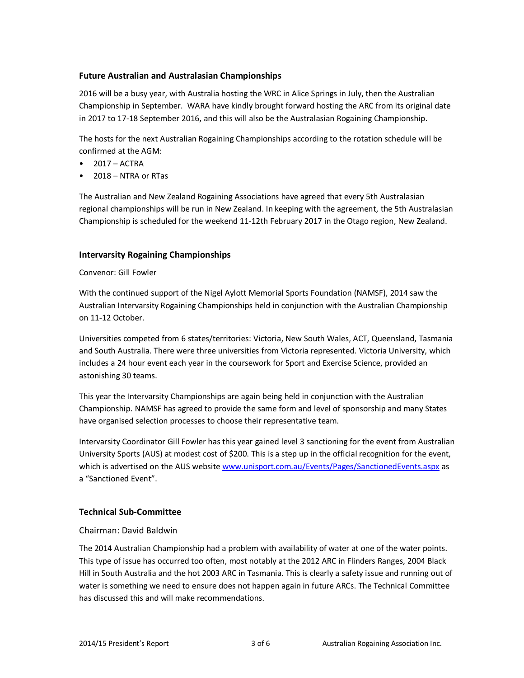## **Future Australian and Australasian Championships**

2016 will be a busy year, with Australia hosting the WRC in Alice Springs in July, then the Australian Championship in September. WARA have kindly brought forward hosting the ARC from its original date in 2017 to 17-18 September 2016, and this will also be the Australasian Rogaining Championship.

The hosts for the next Australian Rogaining Championships according to the rotation schedule will be confirmed at the AGM:

- $\bullet$  2017 ACTRA
- 2018 NTRA or RTas

The Australian and New Zealand Rogaining Associations have agreed that every 5th Australasian regional championships will be run in New Zealand. In keeping with the agreement, the 5th Australasian Championship is scheduled for the weekend 11-12th February 2017 in the Otago region, New Zealand.

## **Intervarsity Rogaining Championships**

Convenor: Gill Fowler

With the continued support of the Nigel Aylott Memorial Sports Foundation (NAMSF), 2014 saw the Australian Intervarsity Rogaining Championships held in conjunction with the Australian Championship on 11-12 October.

Universities competed from 6 states/territories: Victoria, New South Wales, ACT, Queensland, Tasmania and South Australia. There were three universities from Victoria represented. Victoria University, which includes a 24 hour event each year in the coursework for Sport and Exercise Science, provided an astonishing 30 teams.

This year the Intervarsity Championships are again being held in conjunction with the Australian Championship. NAMSF has agreed to provide the same form and level of sponsorship and many States have organised selection processes to choose their representative team.

Intervarsity Coordinator Gill Fowler has this year gained level 3 sanctioning for the event from Australian University Sports (AUS) at modest cost of \$200. This is a step up in the official recognition for the event, which is advertised on the AUS website www.unisport.com.au/Events/Pages/SanctionedEvents.aspx as a "Sanctioned Event".

#### **Technical Sub-Committee**

#### Chairman: David Baldwin

The 2014 Australian Championship had a problem with availability of water at one of the water points. This type of issue has occurred too often, most notably at the 2012 ARC in Flinders Ranges, 2004 Black Hill in South Australia and the hot 2003 ARC in Tasmania. This is clearly a safety issue and running out of water is something we need to ensure does not happen again in future ARCs. The Technical Committee has discussed this and will make recommendations.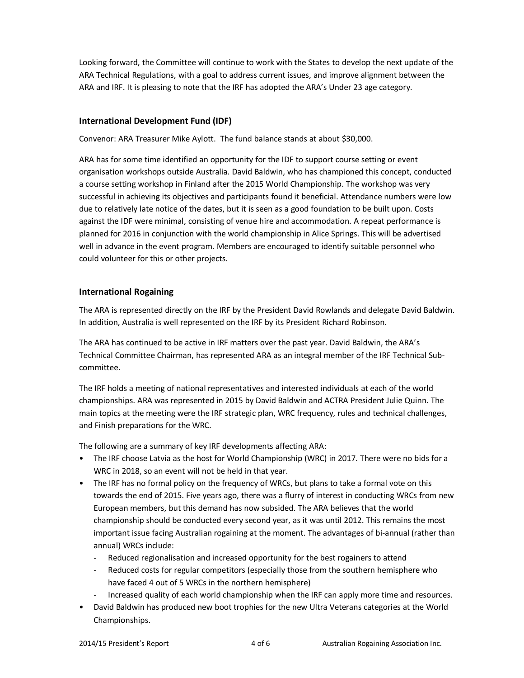Looking forward, the Committee will continue to work with the States to develop the next update of the ARA Technical Regulations, with a goal to address current issues, and improve alignment between the ARA and IRF. It is pleasing to note that the IRF has adopted the ARA's Under 23 age category.

# **International Development Fund (IDF)**

Convenor: ARA Treasurer Mike Aylott. The fund balance stands at about \$30,000.

ARA has for some time identified an opportunity for the IDF to support course setting or event organisation workshops outside Australia. David Baldwin, who has championed this concept, conducted a course setting workshop in Finland after the 2015 World Championship. The workshop was very successful in achieving its objectives and participants found it beneficial. Attendance numbers were low due to relatively late notice of the dates, but it is seen as a good foundation to be built upon. Costs against the IDF were minimal, consisting of venue hire and accommodation. A repeat performance is planned for 2016 in conjunction with the world championship in Alice Springs. This will be advertised well in advance in the event program. Members are encouraged to identify suitable personnel who could volunteer for this or other projects.

## **International Rogaining**

The ARA is represented directly on the IRF by the President David Rowlands and delegate David Baldwin. In addition, Australia is well represented on the IRF by its President Richard Robinson.

The ARA has continued to be active in IRF matters over the past year. David Baldwin, the ARA's Technical Committee Chairman, has represented ARA as an integral member of the IRF Technical Subcommittee.

The IRF holds a meeting of national representatives and interested individuals at each of the world championships. ARA was represented in 2015 by David Baldwin and ACTRA President Julie Quinn. The main topics at the meeting were the IRF strategic plan, WRC frequency, rules and technical challenges, and Finish preparations for the WRC.

The following are a summary of key IRF developments affecting ARA:

- The IRF choose Latvia as the host for World Championship (WRC) in 2017. There were no bids for a WRC in 2018, so an event will not be held in that year.
- The IRF has no formal policy on the frequency of WRCs, but plans to take a formal vote on this towards the end of 2015. Five years ago, there was a flurry of interest in conducting WRCs from new European members, but this demand has now subsided. The ARA believes that the world championship should be conducted every second year, as it was until 2012. This remains the most important issue facing Australian rogaining at the moment. The advantages of bi-annual (rather than annual) WRCs include:
	- Reduced regionalisation and increased opportunity for the best rogainers to attend
	- Reduced costs for regular competitors (especially those from the southern hemisphere who have faced 4 out of 5 WRCs in the northern hemisphere)
	- Increased quality of each world championship when the IRF can apply more time and resources.
- David Baldwin has produced new boot trophies for the new Ultra Veterans categories at the World Championships.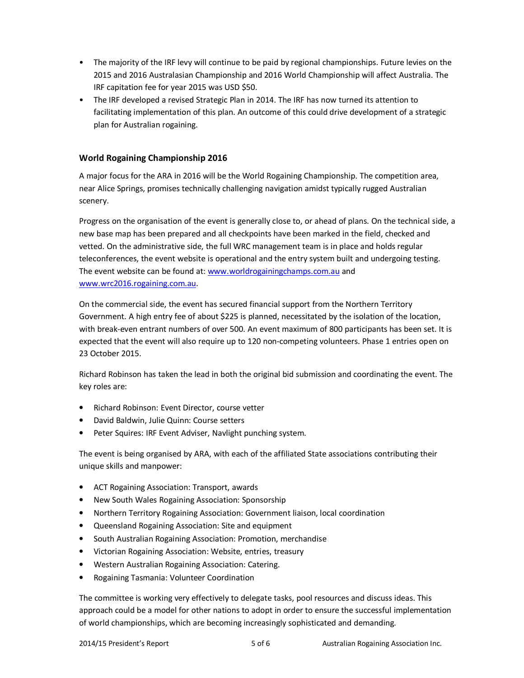- The majority of the IRF levy will continue to be paid by regional championships. Future levies on the 2015 and 2016 Australasian Championship and 2016 World Championship will affect Australia. The IRF capitation fee for year 2015 was USD \$50.
- The IRF developed a revised Strategic Plan in 2014. The IRF has now turned its attention to facilitating implementation of this plan. An outcome of this could drive development of a strategic plan for Australian rogaining.

# **World Rogaining Championship 2016**

A major focus for the ARA in 2016 will be the World Rogaining Championship. The competition area, near Alice Springs, promises technically challenging navigation amidst typically rugged Australian scenery.

Progress on the organisation of the event is generally close to, or ahead of plans. On the technical side, a new base map has been prepared and all checkpoints have been marked in the field, checked and vetted. On the administrative side, the full WRC management team is in place and holds regular teleconferences, the event website is operational and the entry system built and undergoing testing. The event website can be found at: www.worldrogainingchamps.com.au and www.wrc2016.rogaining.com.au.

On the commercial side, the event has secured financial support from the Northern Territory Government. A high entry fee of about \$225 is planned, necessitated by the isolation of the location, with break-even entrant numbers of over 500. An event maximum of 800 participants has been set. It is expected that the event will also require up to 120 non-competing volunteers. Phase 1 entries open on 23 October 2015.

Richard Robinson has taken the lead in both the original bid submission and coordinating the event. The key roles are:

- Richard Robinson: Event Director, course vetter
- David Baldwin, Julie Quinn: Course setters
- Peter Squires: IRF Event Adviser, Navlight punching system.

The event is being organised by ARA, with each of the affiliated State associations contributing their unique skills and manpower:

- ACT Rogaining Association: Transport, awards
- New South Wales Rogaining Association: Sponsorship
- Northern Territory Rogaining Association: Government liaison, local coordination
- Queensland Rogaining Association: Site and equipment
- South Australian Rogaining Association: Promotion, merchandise
- Victorian Rogaining Association: Website, entries, treasury
- Western Australian Rogaining Association: Catering.
- Rogaining Tasmania: Volunteer Coordination

The committee is working very effectively to delegate tasks, pool resources and discuss ideas. This approach could be a model for other nations to adopt in order to ensure the successful implementation of world championships, which are becoming increasingly sophisticated and demanding.